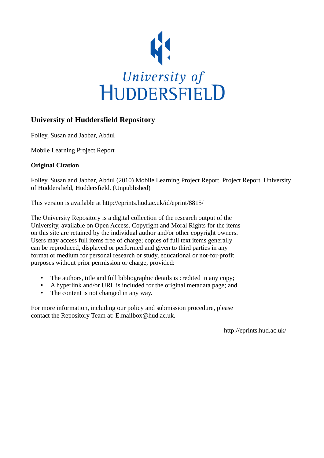

## **University of Huddersfield Repository**

Folley, Susan and Jabbar, Abdul

Mobile Learning Project Report

## **Original Citation**

Folley, Susan and Jabbar, Abdul (2010) Mobile Learning Project Report. Project Report. University of Huddersfield, Huddersfield. (Unpublished)

This version is available at http://eprints.hud.ac.uk/id/eprint/8815/

The University Repository is a digital collection of the research output of the University, available on Open Access. Copyright and Moral Rights for the items on this site are retained by the individual author and/or other copyright owners. Users may access full items free of charge; copies of full text items generally can be reproduced, displayed or performed and given to third parties in any format or medium for personal research or study, educational or not-for-profit purposes without prior permission or charge, provided:

- The authors, title and full bibliographic details is credited in any copy;
- A hyperlink and/or URL is included for the original metadata page; and
- The content is not changed in any way.

For more information, including our policy and submission procedure, please contact the Repository Team at: E.mailbox@hud.ac.uk.

http://eprints.hud.ac.uk/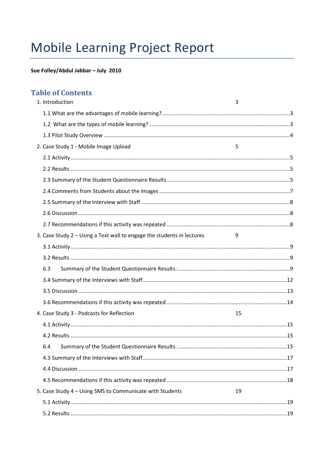# **Mobile Learning Project Report**

# Sue Folley/Abdul Jabbar - July 2010

# **Table of Contents**

| 1. Introduction                                                        | 3  |
|------------------------------------------------------------------------|----|
|                                                                        |    |
|                                                                        |    |
|                                                                        |    |
| 2. Case Study 1 - Mobile Image Upload                                  | 5  |
|                                                                        |    |
|                                                                        |    |
|                                                                        |    |
|                                                                        |    |
|                                                                        |    |
|                                                                        |    |
|                                                                        |    |
| 3. Case Study 2 - Using a Text wall to engage the students in lectures | 9  |
|                                                                        |    |
|                                                                        |    |
| 6.3                                                                    |    |
|                                                                        |    |
|                                                                        |    |
|                                                                        |    |
| 4. Case Study 3 - Podcasts for Reflection                              | 15 |
|                                                                        |    |
|                                                                        |    |
| 6.4                                                                    |    |
|                                                                        |    |
|                                                                        |    |
|                                                                        |    |
| 5. Case Study 4 - Using SMS to Communicate with Students               | 19 |
|                                                                        |    |
|                                                                        |    |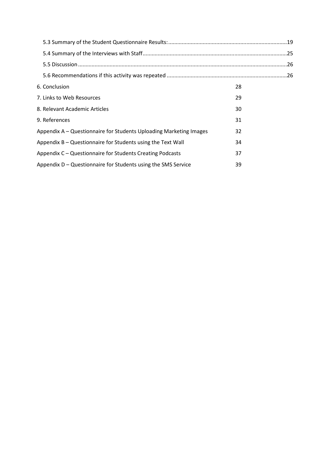| 6. Conclusion                                                      | 28 |  |
|--------------------------------------------------------------------|----|--|
| 7. Links to Web Resources                                          | 29 |  |
| 8. Relevant Academic Articles                                      | 30 |  |
| 9. References                                                      | 31 |  |
| Appendix A - Questionnaire for Students Uploading Marketing Images | 32 |  |
| Appendix B - Questionnaire for Students using the Text Wall        | 34 |  |
| Appendix C - Questionnaire for Students Creating Podcasts          | 37 |  |
| Appendix D - Questionnaire for Students using the SMS Service      | 39 |  |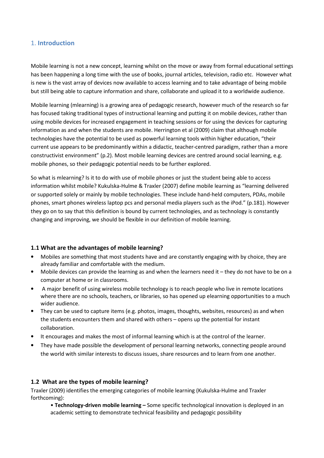## 1. Introduction

Mobile learning is not a new concept, learning whilst on the move or away from formal educational settings has been happening a long time with the use of books, journal articles, television, radio etc. However what is new is the vast array of devices now available to access learning and to take advantage of being mobile but still being able to capture information and share, collaborate and upload it to a worldwide audience.

Mobile learning (mlearning) is a growing area of pedagogic research, however much of the research so far has focused taking traditional types of instructional learning and putting it on mobile devices, rather than using mobile devices for increased engagement in teaching sessions or for using the devices for capturing information as and when the students are mobile. Herrington et al (2009) claim that although mobile technologies have the potential to be used as powerful learning tools within higher education, "their current use appears to be predominantly within a didactic, teacher-centred paradigm, rather than a more constructivist environment" (p.2). Most mobile learning devices are centred around social learning, e.g. mobile phones, so their pedagogic potential needs to be further explored.

So what is mlearning? Is it to do with use of mobile phones or just the student being able to access information whilst mobile? Kukulska-Hulme & Traxler (2007) define mobile learning as "learning delivered or supported solely or mainly by mobile technologies. These include hand-held computers, PDAs, mobile phones, smart phones wireless laptop pcs and personal media players such as the iPod." (p.181). However they go on to say that this definition is bound by current technologies, and as technology is constantly changing and improving, we should be flexible in our definition of mobile learning.

#### 1.1 What are the advantages of mobile learning?

- Mobiles are something that most students have and are constantly engaging with by choice, they are already familiar and comfortable with the medium.
- Mobile devices can provide the learning as and when the learners need it they do not have to be on a computer at home or in classrooms.
- A major benefit of using wireless mobile technology is to reach people who live in remote locations where there are no schools, teachers, or libraries, so has opened up elearning opportunities to a much wider audience.
- They can be used to capture items (e.g. photos, images, thoughts, websites, resources) as and when the students encounters them and shared with others – opens up the potential for instant collaboration.
- It encourages and makes the most of informal learning which is at the control of the learner.
- They have made possible the development of personal learning networks, connecting people around the world with similar interests to discuss issues, share resources and to learn from one another.

#### 1.2 What are the types of mobile learning?

Traxler (2009) identifies the emerging categories of mobile learning (Kukulska-Hulme and Traxler forthcoming):

• Technology-driven mobile learning – Some specific technological innovation is deployed in an academic setting to demonstrate technical feasibility and pedagogic possibility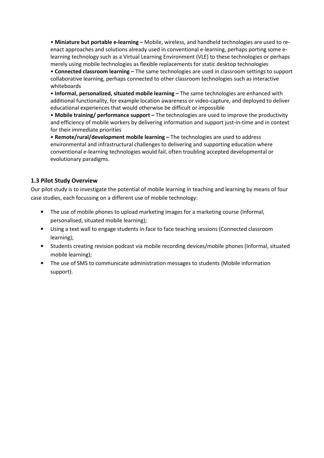• Miniature but portable e-learning – Mobile, wireless, and handheld technologies are used to reenact approaches and solutions already used in conventional e-learning, perhaps porting some elearning technology such as a Virtual Learning Environment (VLE) to these technologies or perhaps merely using mobile technologies as flexible replacements for static desktop technologies

• Connected classroom learning – The same technologies are used in classroom settings to support collaborative learning, perhaps connected to other classroom technologies such as interactive whiteboards

• Informal, personalized, situated mobile learning – The same technologies are enhanced with additional functionality, for example location awareness or video-capture, and deployed to deliver educational experiences that would otherwise be difficult or impossible

• Mobile training/ performance support - The technologies are used to improve the productivity and efficiency of mobile workers by delivering information and support just-in-time and in context for their immediate priorities

• Remote/rural/development mobile learning – The technologies are used to address environmental and infrastructural challenges to delivering and supporting education where conventional e-learning technologies would fail, often troubling accepted developmental or evolutionary paradigms.

## 1.3 Pilot Study Overview

Our pilot study is to investigate the potential of mobile learning in teaching and learning by means of four case studies, each focussing on a different use of mobile technology:

- The use of mobile phones to upload marketing images for a marketing course (Informal, personalised, situated mobile learning);
- Using a text wall to engage students in face to face teaching sessions (Connected classroom learning);
- Students creating revision podcast via mobile recording devices/mobile phones (Informal, situated mobile learning);
- The use of SMS to communicate administration messages to students (Mobile information support).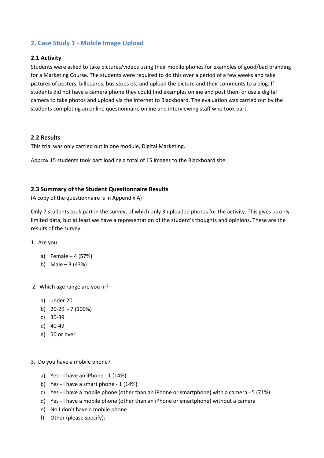## 2. Case Study 1 - Mobile Image Upload

#### 2.1 Activity

Students were asked to take pictures/videos using their mobile phones for examples of good/bad branding for a Marketing Course. The students were required to do this over a period of a few weeks and take pictures of posters, billboards, bus stops etc and upload the picture and their comments to a blog. If students did not have a camera phone they could find examples online and post them or use a digital camera to take photos and upload via the internet to Blackboard. The evaluation was carried out by the students completing an online questionnaire online and interviewing staff who took part.

#### 2.2 Results

This trial was only carried out in one module, Digital Marketing.

Approx 15 students took part loading a total of 15 images to the Blackboard site.

#### 2.3 Summary of the Student Questionnaire Results

(A copy of the questionnaire is in Appendix A)

Only 7 students took part in the survey, of which only 3 uploaded photos for the activity. This gives us only limited data, but at least we have a representation of the student's thoughts and opinions. These are the results of the survey:

- 1. Are you
	- a) Female 4 (57%)
	- b) Male 3 (43%)
- 2. Which age range are you in?
	- a) under 20
	- b) 20-29 7 (100%)
	- c) 30-39
	- d) 40-49
	- e) 50 or over
- 3. Do you have a mobile phone?
	- a) Yes I have an iPhone  $1(14%)$
	- b) Yes I have a smart phone  $1(14%)$
	- c) Yes I have a mobile phone (other than an iPhone or smartphone) with a camera 5 (71%)
	- d) Yes I have a mobile phone (other than an iPhone or smartphone) without a camera
	- e) No I don't have a mobile phone
	- f) Other (please specify):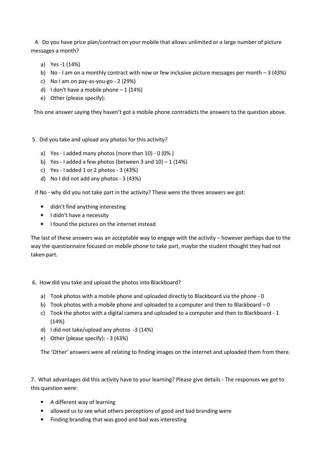4. Do you have price plan/contract on your mobile that allows unlimited or a large number of picture messages a month?

- a) Yes -1 (14%)
- b) No I am on a monthly contract with now or few inclusive picture messages per month  $-3$  (43%)
- c) No I am on pay-as-you-go 2 (29%)
- d) I don't have a mobile phone  $-1$  (14%)
- e) Other (please specify):

This one answer saying they haven't got a mobile phone contradicts the answers to the question above.

#### 5. Did you take and upload any photos for this activity?

- a) Yes I added many photos (more than 10) 0 (0% )
- b) Yes I added a few photos (between 3 and  $10$ ) 1 (14%)
- c) Yes I added 1 or 2 photos  $3(43%)$
- d) No I did not add any photos 3 (43%)

If No - why did you not take part in the activity? These were the three answers we got:

- didn't find anything interesting
- I didn't have a necessity
- I found the pictures on the internet instead

The last of these answers was an acceptable way to engage with the activity – however perhaps due to the way the questionnaire focused on mobile phone to take part, maybe the student thought they had not taken part.

#### 6. How did you take and upload the photos into Blackboard?

- a) Took photos with a mobile phone and uploaded directly to Blackboard via the phone 0
- b) Took photos with a mobile phone and uploaded to a computer and then to Blackboard 0
- c) Took the photos with a digital camera and uploaded to a computer and then to Blackboard 1 (14%)
- d) I did not take/upload any photos -3 (14%)
- e) Other (please specify): 3 (43%)

The 'Other' answers were all relating to finding images on the internet and uploaded them from there.

7. What advantages did this activity have to your learning? Please give details - The responses we got to this question were:

- A different way of learning
- allowed us to see what others perceptions of good and bad branding were
- Finding branding that was good and bad was interesting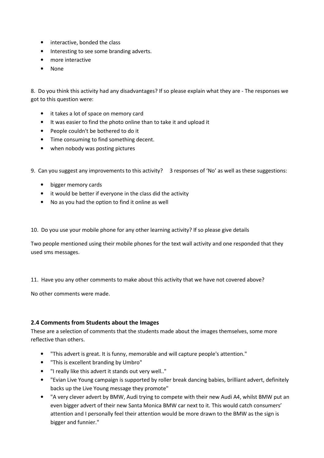- interactive, bonded the class
- Interesting to see some branding adverts.
- more interactive
- None

8. Do you think this activity had any disadvantages? If so please explain what they are - The responses we got to this question were:

- it takes a lot of space on memory card
- It was easier to find the photo online than to take it and upload it
- People couldn't be bothered to do it
- Time consuming to find something decent.
- when nobody was posting pictures

9. Can you suggest any improvements to this activity? 3 responses of 'No' as well as these suggestions:

- bigger memory cards
- it would be better if everyone in the class did the activity
- No as you had the option to find it online as well

10. Do you use your mobile phone for any other learning activity? If so please give details

Two people mentioned using their mobile phones for the text wall activity and one responded that they used sms messages.

11. Have you any other comments to make about this activity that we have not covered above?

No other comments were made.

#### 2.4 Comments from Students about the Images

These are a selection of comments that the students made about the images themselves, some more reflective than others.

- "This advert is great. It is funny, memorable and will capture people's attention."
- "This is excellent branding by Umbro"
- "I really like this advert it stands out very well.."
- "Evian Live Young campaign is supported by roller break dancing babies, brilliant advert, definitely backs up the Live Young message they promote"
- "A very clever advert by BMW, Audi trying to compete with their new Audi A4, whilst BMW put an even bigger advert of their new Santa Monica BMW car next to it. This would catch consumers' attention and I personally feel their attention would be more drawn to the BMW as the sign is bigger and funnier."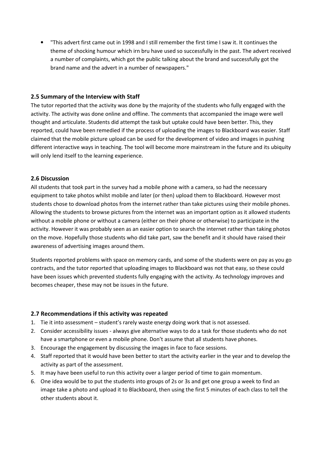• "This advert first came out in 1998 and I still remember the first time I saw it. It continues the theme of shocking humour which irn bru have used so successfully in the past. The advert received a number of complaints, which got the public talking about the brand and successfully got the brand name and the advert in a number of newspapers."

## 2.5 Summary of the Interview with Staff

The tutor reported that the activity was done by the majority of the students who fully engaged with the activity. The activity was done online and offline. The comments that accompanied the image were well thought and articulate. Students did attempt the task but uptake could have been better. This, they reported, could have been remedied if the process of uploading the images to Blackboard was easier. Staff claimed that the mobile picture upload can be used for the development of video and images in pushing different interactive ways in teaching. The tool will become more mainstream in the future and its ubiquity will only lend itself to the learning experience.

## 2.6 Discussion

All students that took part in the survey had a mobile phone with a camera, so had the necessary equipment to take photos whilst mobile and later (or then) upload them to Blackboard. However most students chose to download photos from the internet rather than take pictures using their mobile phones. Allowing the students to browse pictures from the internet was an important option as it allowed students without a mobile phone or without a camera (either on their phone or otherwise) to participate in the activity. However it was probably seen as an easier option to search the internet rather than taking photos on the move. Hopefully those students who did take part, saw the benefit and it should have raised their awareness of advertising images around them.

Students reported problems with space on memory cards, and some of the students were on pay as you go contracts, and the tutor reported that uploading images to Blackboard was not that easy, so these could have been issues which prevented students fully engaging with the activity. As technology improves and becomes cheaper, these may not be issues in the future.

#### 2.7 Recommendations if this activity was repeated

- 1. Tie it into assessment student's rarely waste energy doing work that is not assessed.
- 2. Consider accessibility issues always give alternative ways to do a task for those students who do not have a smartphone or even a mobile phone. Don't assume that all students have phones.
- 3. Encourage the engagement by discussing the images in face to face sessions.
- 4. Staff reported that it would have been better to start the activity earlier in the year and to develop the activity as part of the assessment.
- 5. It may have been useful to run this activity over a larger period of time to gain momentum.
- 6. One idea would be to put the students into groups of 2s or 3s and get one group a week to find an image take a photo and upload it to Blackboard, then using the first 5 minutes of each class to tell the other students about it.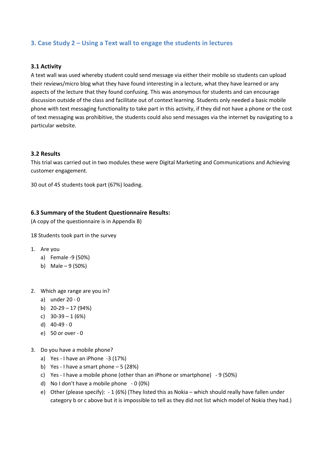## 3. Case Study 2 – Using a Text wall to engage the students in lectures

#### 3.1 Activity

A text wall was used whereby student could send message via either their mobile so students can upload their reviews/micro blog what they have found interesting in a lecture, what they have learned or any aspects of the lecture that they found confusing. This was anonymous for students and can encourage discussion outside of the class and facilitate out of context learning. Students only needed a basic mobile phone with text messaging functionality to take part in this activity, if they did not have a phone or the cost of text messaging was prohibitive, the students could also send messages via the internet by navigating to a particular website.

#### 3.2 Results

This trial was carried out in two modules these were Digital Marketing and Communications and Achieving customer engagement.

30 out of 45 students took part (67%) loading.

#### 6.3 Summary of the Student Questionnaire Results:

(A copy of the questionnaire is in Appendix B)

18 Students took part in the survey

- 1. Are you
	- a) Female -9 (50%)
	- b) Male 9 (50%)
- 2. Which age range are you in?
	- a) under 20 0
	- b)  $20-29-17(94%)$
	- c)  $30-39-1(6%)$
	- d) 40-49 0
	- e) 50 or over 0
- 3. Do you have a mobile phone?
	- a) Yes I have an iPhone -3 (17%)
	- b) Yes I have a smart phone  $-5$  (28%)
	- c) Yes I have a mobile phone (other than an iPhone or smartphone) 9 (50%)
	- d) No I don't have a mobile phone 0 (0%)
	- e) Other (please specify): 1 (6%) (They listed this as Nokia which should really have fallen under category b or c above but it is impossible to tell as they did not list which model of Nokia they had.)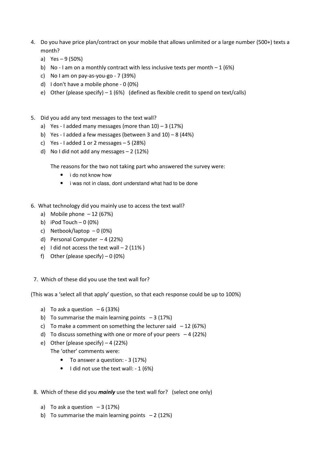- 4. Do you have price plan/contract on your mobile that allows unlimited or a large number (500+) texts a month?
	- a) Yes 9 (50%)
	- b) No I am on a monthly contract with less inclusive texts per month  $-1$  (6%)
	- c) No I am on pay-as-you-go 7 (39%)
	- d) I don't have a mobile phone 0 (0%)
	- e) Other (please specify) 1 (6%) (defined as flexible credit to spend on text/calls)
- 5. Did you add any text messages to the text wall?
	- a) Yes I added many messages (more than  $10$ ) 3 (17%)
	- b) Yes I added a few messages (between 3 and  $10$ ) 8 (44%)
	- c) Yes I added 1 or 2 messages  $-5$  (28%)
	- d) No I did not add any messages 2 (12%)

The reasons for the two not taking part who answered the survey were:

- i do not know how
- i was not in class, dont understand what had to be done
- 6. What technology did you mainly use to access the text wall?
	- a) Mobile phone  $-12(67%)$
	- b) iPod Touch  $-0$  (0%)
	- c) Netbook/laptop  $-0$  (0%)
	- d) Personal Computer 4 (22%)
	- e) I did not access the text wall  $-2$  (11%)
	- f) Other (please specify)  $-0$  (0%)
- 7. Which of these did you use the text wall for?

(This was a 'select all that apply' question, so that each response could be up to 100%)

- a) To ask a question  $-6$  (33%)
- b) To summarise the main learning points  $-3$  (17%)
- c) To make a comment on something the lecturer said  $-12$  (67%)
- d) To discuss something with one or more of your peers  $-4$  (22%)
- e) Other (please specify) 4 (22%)

The 'other' comments were:

- To answer a question: 3 (17%)
- $\bullet$  I did not use the text wall: 1 (6%)
- 8. Which of these did you *mainly* use the text wall for? (select one only)
	- a) To ask a question  $-3(17%)$
	- b) To summarise the main learning points  $-2$  (12%)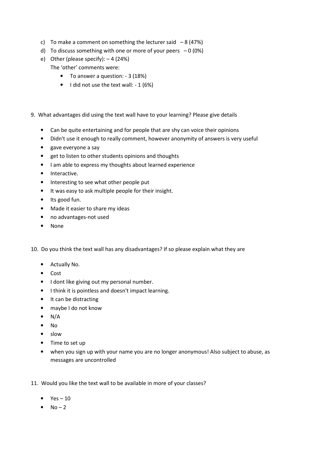- c) To make a comment on something the lecturer said  $-8$  (47%)
- d) To discuss something with one or more of your peers  $-0$  (0%)
- e) Other (please specify): 4 (24%) The 'other' comments were:
	- To answer a question: 3 (18%)
	- I did not use the text wall: 1 (6%)
- 9. What advantages did using the text wall have to your learning? Please give details
	- Can be quite entertaining and for people that are shy can voice their opinions
	- Didn't use it enough to really comment, however anonymity of answers is very useful
	- gave everyone a say
	- get to listen to other students opinions and thoughts
	- I am able to express my thoughts about learned experience
	- Interactive.
	- Interesting to see what other people put
	- It was easy to ask multiple people for their insight.
	- Its good fun.
	- Made it easier to share my ideas
	- no advantages-not used
	- None
- 10. Do you think the text wall has any disadvantages? If so please explain what they are
	- Actually No.
	- Cost
	- I dont like giving out my personal number.
	- I think it is pointless and doesn't impact learning.
	- It can be distracting
	- maybe I do not know
	- $\bullet$  N/A
	- No
	- slow
	- Time to set up
	- when you sign up with your name you are no longer anonymous! Also subject to abuse, as messages are uncontrolled
- 11. Would you like the text wall to be available in more of your classes?
	- $\bullet$  Yes 10
	- $\bullet$  No 2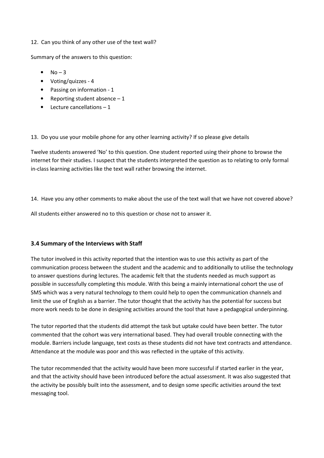#### 12. Can you think of any other use of the text wall?

Summary of the answers to this question:

- $\bullet$  No 3
- Voting/quizzes 4
- Passing on information 1
- Reporting student absence  $-1$
- $\bullet$  Lecture cancellations  $-1$

13. Do you use your mobile phone for any other learning activity? If so please give details

Twelve students answered 'No' to this question. One student reported using their phone to browse the internet for their studies. I suspect that the students interpreted the question as to relating to only formal in-class learning activities like the text wall rather browsing the internet.

14. Have you any other comments to make about the use of the text wall that we have not covered above?

All students either answered no to this question or chose not to answer it.

#### 3.4 Summary of the Interviews with Staff

The tutor involved in this activity reported that the intention was to use this activity as part of the communication process between the student and the academic and to additionally to utilise the technology to answer questions during lectures. The academic felt that the students needed as much support as possible in successfully completing this module. With this being a mainly international cohort the use of SMS which was a very natural technology to them could help to open the communication channels and limit the use of English as a barrier. The tutor thought that the activity has the potential for success but more work needs to be done in designing activities around the tool that have a pedagogical underpinning.

The tutor reported that the students did attempt the task but uptake could have been better. The tutor commented that the cohort was very international based. They had overall trouble connecting with the module. Barriers include language, text costs as these students did not have text contracts and attendance. Attendance at the module was poor and this was reflected in the uptake of this activity.

The tutor recommended that the activity would have been more successful if started earlier in the year, and that the activity should have been introduced before the actual assessment. It was also suggested that the activity be possibly built into the assessment, and to design some specific activities around the text messaging tool.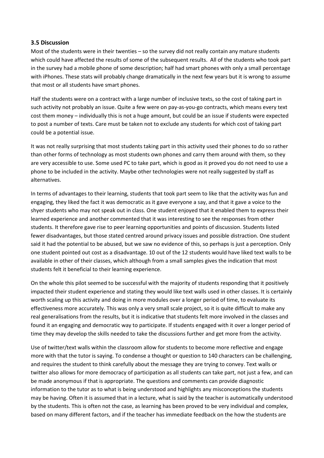#### 3.5 Discussion

Most of the students were in their twenties – so the survey did not really contain any mature students which could have affected the results of some of the subsequent results. All of the students who took part in the survey had a mobile phone of some description; half had smart phones with only a small percentage with iPhones. These stats will probably change dramatically in the next few years but it is wrong to assume that most or all students have smart phones.

Half the students were on a contract with a large number of inclusive texts, so the cost of taking part in such activity not probably an issue. Quite a few were on pay-as-you-go contracts, which means every text cost them money – individually this is not a huge amount, but could be an issue if students were expected to post a number of texts. Care must be taken not to exclude any students for which cost of taking part could be a potential issue.

It was not really surprising that most students taking part in this activity used their phones to do so rather than other forms of technology as most students own phones and carry them around with them, so they are very accessible to use. Some used PC to take part, which is good as it proved you do not need to use a phone to be included in the activity. Maybe other technologies were not really suggested by staff as alternatives.

In terms of advantages to their learning, students that took part seem to like that the activity was fun and engaging, they liked the fact it was democratic as it gave everyone a say, and that it gave a voice to the shyer students who may not speak out in class. One student enjoyed that it enabled them to express their learned experience and another commented that it was interesting to see the responses from other students. It therefore gave rise to peer learning opportunities and points of discussion. Students listed fewer disadvantages, but those stated centred around privacy issues and possible distraction. One student said it had the potential to be abused, but we saw no evidence of this, so perhaps is just a perception. Only one student pointed out cost as a disadvantage. 10 out of the 12 students would have liked text walls to be available in other of their classes, which although from a small samples gives the indication that most students felt it beneficial to their learning experience.

On the whole this pilot seemed to be successful with the majority of students responding that it positively impacted their student experience and stating they would like text walls used in other classes. It is certainly worth scaling up this activity and doing in more modules over a longer period of time, to evaluate its effectiveness more accurately. This was only a very small scale project, so it is quite difficult to make any real generalisations from the results, but it is indicative that students felt more involved in the classes and found it an engaging and democratic way to participate. If students engaged with it over a longer period of time they may develop the skills needed to take the discussions further and get more from the activity.

Use of twitter/text walls within the classroom allow for students to become more reflective and engage more with that the tutor is saying. To condense a thought or question to 140 characters can be challenging, and requires the student to think carefully about the message they are trying to convey. Text walls or twitter also allows for more democracy of participation as all students can take part, not just a few, and can be made anonymous if that is appropriate. The questions and comments can provide diagnostic information to the tutor as to what is being understood and highlights any misconceptions the students may be having. Often it is assumed that in a lecture, what is said by the teacher is automatically understood by the students. This is often not the case, as learning has been proved to be very individual and complex, based on many different factors, and if the teacher has immediate feedback on the how the students are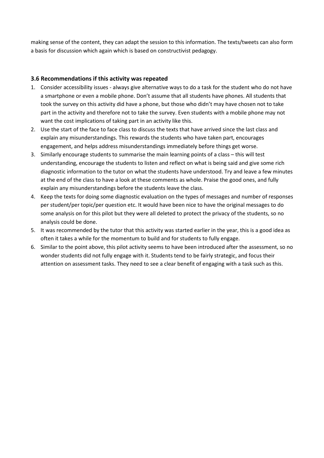making sense of the content, they can adapt the session to this information. The texts/tweets can also form a basis for discussion which again which is based on constructivist pedagogy.

## 3.6 Recommendations if this activity was repeated

- 1. Consider accessibility issues always give alternative ways to do a task for the student who do not have a smartphone or even a mobile phone. Don't assume that all students have phones. All students that took the survey on this activity did have a phone, but those who didn't may have chosen not to take part in the activity and therefore not to take the survey. Even students with a mobile phone may not want the cost implications of taking part in an activity like this.
- 2. Use the start of the face to face class to discuss the texts that have arrived since the last class and explain any misunderstandings. This rewards the students who have taken part, encourages engagement, and helps address misunderstandings immediately before things get worse.
- 3. Similarly encourage students to summarise the main learning points of a class this will test understanding, encourage the students to listen and reflect on what is being said and give some rich diagnostic information to the tutor on what the students have understood. Try and leave a few minutes at the end of the class to have a look at these comments as whole. Praise the good ones, and fully explain any misunderstandings before the students leave the class.
- 4. Keep the texts for doing some diagnostic evaluation on the types of messages and number of responses per student/per topic/per question etc. It would have been nice to have the original messages to do some analysis on for this pilot but they were all deleted to protect the privacy of the students, so no analysis could be done.
- 5. It was recommended by the tutor that this activity was started earlier in the year, this is a good idea as often it takes a while for the momentum to build and for students to fully engage.
- 6. Similar to the point above, this pilot activity seems to have been introduced after the assessment, so no wonder students did not fully engage with it. Students tend to be fairly strategic, and focus their attention on assessment tasks. They need to see a clear benefit of engaging with a task such as this.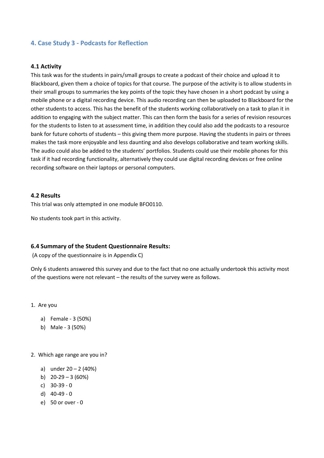## 4. Case Study 3 - Podcasts for Reflection

#### 4.1 Activity

This task was for the students in pairs/small groups to create a podcast of their choice and upload it to Blackboard, given them a choice of topics for that course. The purpose of the activity is to allow students in their small groups to summaries the key points of the topic they have chosen in a short podcast by using a mobile phone or a digital recording device. This audio recording can then be uploaded to Blackboard for the other students to access. This has the benefit of the students working collaboratively on a task to plan it in addition to engaging with the subject matter. This can then form the basis for a series of revision resources for the students to listen to at assessment time, in addition they could also add the podcasts to a resource bank for future cohorts of students – this giving them more purpose. Having the students in pairs or threes makes the task more enjoyable and less daunting and also develops collaborative and team working skills. The audio could also be added to the students' portfolios. Students could use their mobile phones for this task if it had recording functionality, alternatively they could use digital recording devices or free online recording software on their laptops or personal computers.

#### 4.2 Results

This trial was only attempted in one module BFO0110.

No students took part in this activity.

#### 6.4 Summary of the Student Questionnaire Results:

(A copy of the questionnaire is in Appendix C)

Only 6 students answered this survey and due to the fact that no one actually undertook this activity most of the questions were not relevant – the results of the survey were as follows.

- 1. Are you
	- a) Female 3 (50%)
	- b) Male 3 (50%)
- 2. Which age range are you in?
	- a) under  $20 2$  (40%)
	- b)  $20-29-3(60%)$
	- c) 30-39 0
	- d) 40-49 0
	- e) 50 or over 0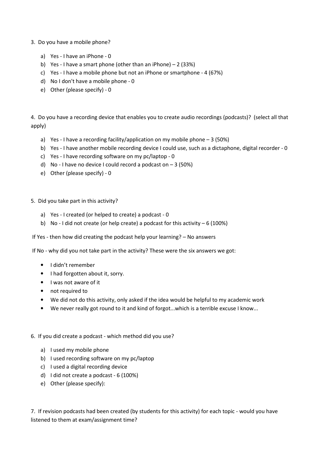- 3. Do you have a mobile phone?
	- a) Yes I have an iPhone 0
	- b) Yes I have a smart phone (other than an iPhone) 2 (33%)
	- c) Yes I have a mobile phone but not an iPhone or smartphone 4 (67%)
	- d) No I don't have a mobile phone 0
	- e) Other (please specify) 0

4. Do you have a recording device that enables you to create audio recordings (podcasts)? (select all that apply)

- a) Yes I have a recording facility/application on my mobile phone 3 (50%)
- b) Yes I have another mobile recording device I could use, such as a dictaphone, digital recorder 0
- c) Yes I have recording software on my pc/laptop 0
- d) No I have no device I could record a podcast on  $-3$  (50%)
- e) Other (please specify) 0
- 5. Did you take part in this activity?
	- a) Yes I created (or helped to create) a podcast 0
	- b) No I did not create (or help create) a podcast for this activity  $-6$  (100%)
- If Yes then how did creating the podcast help your learning? No answers

If No - why did you not take part in the activity? These were the six answers we got:

- I didn't remember
- I had forgotten about it, sorry.
- I was not aware of it
- not required to
- We did not do this activity, only asked if the idea would be helpful to my academic work
- We never really got round to it and kind of forgot...which is a terrible excuse I know...
- 6. If you did create a podcast which method did you use?
	- a) I used my mobile phone
	- b) I used recording software on my pc/laptop
	- c) I used a digital recording device
	- d) I did not create a podcast 6 (100%)
	- e) Other (please specify):

7. If revision podcasts had been created (by students for this activity) for each topic - would you have listened to them at exam/assignment time?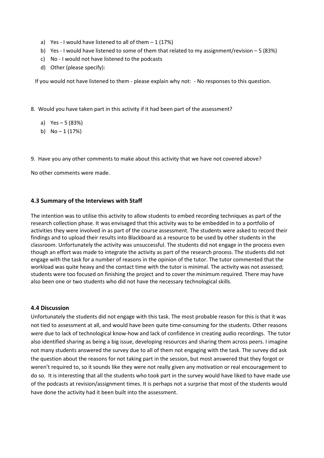- a) Yes I would have listened to all of them  $-1$  (17%)
- b) Yes I would have listened to some of them that related to my assignment/revision 5 (83%)
- c) No I would not have listened to the podcasts
- d) Other (please specify):

If you would not have listened to them - please explain why not: - No responses to this question.

- 8. Would you have taken part in this activity if it had been part of the assessment?
	- a) Yes 5 (83%)
	- b)  $No 1 (17%)$

9. Have you any other comments to make about this activity that we have not covered above?

No other comments were made.

#### 4.3 Summary of the Interviews with Staff

The intention was to utilise this activity to allow students to embed recording techniques as part of the research collection phase. It was envisaged that this activity was to be embedded in to a portfolio of activities they were involved in as part of the course assessment. The students were asked to record their findings and to upload their results into Blackboard as a resource to be used by other students in the classroom. Unfortunately the activity was unsuccessful. The students did not engage in the process even though an effort was made to integrate the activity as part of the research process. The students did not engage with the task for a number of reasons in the opinion of the tutor. The tutor commented that the workload was quite heavy and the contact time with the tutor is minimal. The activity was not assessed; students were too focused on finishing the project and to cover the minimum required. There may have also been one or two students who did not have the necessary technological skills.

#### 4.4 Discussion

Unfortunately the students did not engage with this task. The most probable reason for this is that it was not tied to assessment at all, and would have been quite time-consuming for the students. Other reasons were due to lack of technological know-how and lack of confidence in creating audio recordings. The tutor also identified sharing as being a big issue, developing resources and sharing them across peers. I imagine not many students answered the survey due to all of them not engaging with the task. The survey did ask the question about the reasons for not taking part in the session, but most answered that they forgot or weren't required to, so it sounds like they were not really given any motivation or real encouragement to do so. It is interesting that all the students who took part in the survey would have liked to have made use of the podcasts at revision/assignment times. It is perhaps not a surprise that most of the students would have done the activity had it been built into the assessment.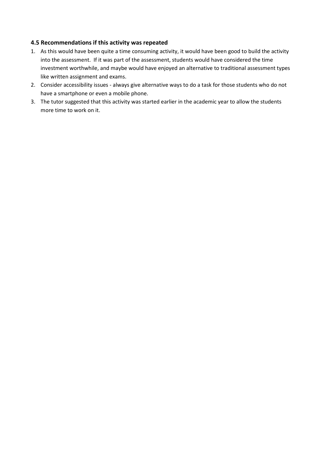#### 4.5 Recommendations if this activity was repeated

- 1. As this would have been quite a time consuming activity, it would have been good to build the activity into the assessment. If it was part of the assessment, students would have considered the time investment worthwhile, and maybe would have enjoyed an alternative to traditional assessment types like written assignment and exams.
- 2. Consider accessibility issues always give alternative ways to do a task for those students who do not have a smartphone or even a mobile phone.
- 3. The tutor suggested that this activity was started earlier in the academic year to allow the students more time to work on it.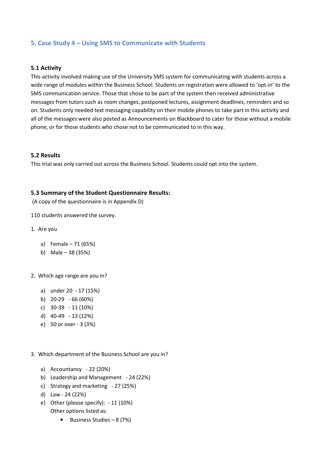## 5. Case Study 4 – Using SMS to Communicate with Students

#### 5.1 Activity

This activity involved making use of the University SMS system for communicating with students across a wide range of modules within the Business School. Students on registration were allowed to 'opt-in' to the SMS communication service. Those that chose to be part of the system then received administrative messages from tutors such as room changes, postponed lectures, assignment deadlines, reminders and so on. Students only needed text messaging capability on their mobile phones to take part in this activity and all of the messages were also posted as Announcements on Blackboard to cater for those without a mobile phone, or for those students who chose not to be communicated to in this way.

#### 5.2 Results

This trial was only carried out across the Business School. Students could opt into the system.

#### 5.3 Summary of the Student Questionnaire Results:

(A copy of the questionnaire is in Appendix D)

110 students answered the survey.

- 1. Are you
	- a) Female 71 (65%)
	- b) Male 38 (35%)
- 2. Which age range are you in?
	- a) under 20 17 (15%)
	- b) 20-29 66 (60%)
	- c) 30-39 11 (10%)
	- d) 40-49 13 (12%)
	- e) 50 or over 3 (3%)
- 3. Which department of the Business School are you in?
	- a) Accountancy 22 (20%)
	- b) Leadership and Management 24 (22%)
	- c) Strategy and marketing 27 (25%)
	- d) Law 24 (22%)
	- e) Other (please specify): 11 (10%) Other options listed as:
		- Business Studies 8 (7%)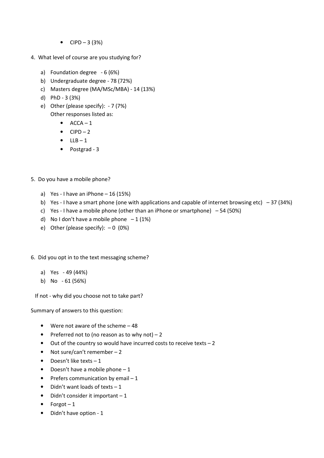- $CIPD 3 (3%)$
- 4. What level of course are you studying for?
	- a) Foundation degree 6 (6%)
	- b) Undergraduate degree 78 (72%)
	- c) Masters degree (MA/MSc/MBA) 14 (13%)
	- d) PhD 3 (3%)
	- e) Other (please specify): 7 (7%) Other responses listed as:
		- $\bullet$   $ACCA-1$
		- $\bullet$  CIPD 2
		- $\bullet$  LLB-1
		- Postgrad 3
- 5. Do you have a mobile phone?
	- a) Yes I have an iPhone  $-16(15%)$
	- b) Yes I have a smart phone (one with applications and capable of internet browsing etc)  $-37$  (34%)
	- c) Yes I have a mobile phone (other than an iPhone or smartphone)  $-54$  (50%)
	- d) No I don't have a mobile phone  $-1$  (1%)
	- e) Other (please specify):  $-0$  (0%)
- 6. Did you opt in to the text messaging scheme?
	- a) Yes 49 (44%)
	- b) No 61 (56%)

If not - why did you choose not to take part?

Summary of answers to this question:

- Were not aware of the scheme 48
- Preferred not to (no reason as to why not)  $-2$
- Out of the country so would have incurred costs to receive texts 2
- Not sure/can't remember 2
- Doesn't like texts  $-1$
- Doesn't have a mobile phone  $-1$
- Prefers communication by email  $-1$
- Didn't want loads of texts  $-1$
- $\bullet$  Didn't consider it important  $-1$
- $\bullet$  Forgot 1
- Didn't have option 1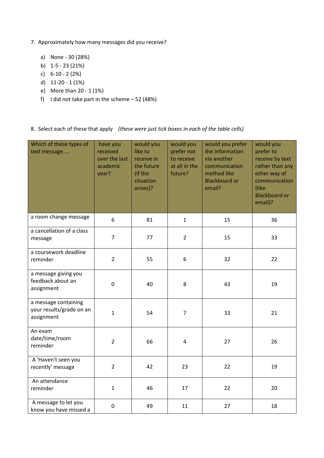- 7. Approximately how many messages did you receive?
	- a) None 30 (28%)
	- b) 1-5 23 (21%)
	- c) 6-10 2 (2%)
	- d) 11-20 1 (1%)
	- e) More than 20 1 (1%)
	- f) I did not take part in the scheme  $-52$  (48%)

8. Select each of these that apply (these were just tick boxes in each of the table cells)

| Which of these types of<br>text message                        | have you<br>received<br>over the last<br>academic<br>year? | would you<br>like to<br>receive in<br>the future<br>(if the<br>situation<br>arises)? | would you<br>prefer not<br>to receive<br>at all in the<br>future? | would you prefer<br>the information<br>via another<br>communication<br>method like<br><b>Blackboard or</b><br>email? | would you<br>prefer to<br>receive by text<br>rather than any<br>other way of<br>communication<br>(like<br><b>Blackboard or</b><br>email)? |
|----------------------------------------------------------------|------------------------------------------------------------|--------------------------------------------------------------------------------------|-------------------------------------------------------------------|----------------------------------------------------------------------------------------------------------------------|-------------------------------------------------------------------------------------------------------------------------------------------|
| a room change message                                          | 6                                                          | 81                                                                                   | $\mathbf{1}$                                                      | 15                                                                                                                   | 36                                                                                                                                        |
| a cancellation of a class<br>message                           | $\overline{7}$                                             | 77                                                                                   | $\overline{2}$                                                    | 15                                                                                                                   | 33                                                                                                                                        |
| a coursework deadline<br>reminder                              | $\overline{2}$                                             | 55                                                                                   | 6                                                                 | 32                                                                                                                   | 22                                                                                                                                        |
| a message giving you<br>feedback about an<br>assignment        | $\mathbf 0$                                                | 40                                                                                   | 8                                                                 | 43                                                                                                                   | 19                                                                                                                                        |
| a message containing<br>your results/grade on an<br>assignment | $\mathbf{1}$                                               | 54                                                                                   | $\overline{7}$                                                    | 33                                                                                                                   | 21                                                                                                                                        |
| An exam<br>date/time/room<br>reminder                          | $\overline{2}$                                             | 66                                                                                   | $\overline{4}$                                                    | 27                                                                                                                   | 26                                                                                                                                        |
| A 'Haven't seen you<br>recently' message                       | $\overline{2}$                                             | 42                                                                                   | 23                                                                | 22                                                                                                                   | 19                                                                                                                                        |
| An attendance<br>reminder                                      | $\mathbf{1}$                                               | 46                                                                                   | 17                                                                | 22                                                                                                                   | 20                                                                                                                                        |
| A message to let you<br>know you have missed a                 | 0                                                          | 49                                                                                   | 11                                                                | 27                                                                                                                   | 18                                                                                                                                        |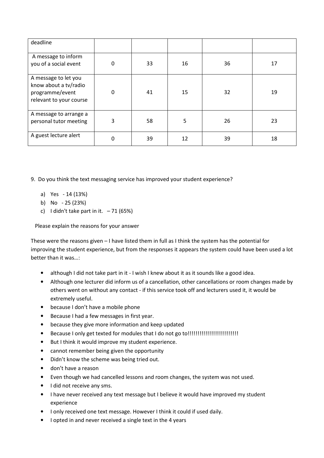| deadline                                                                                    |             |    |    |    |    |
|---------------------------------------------------------------------------------------------|-------------|----|----|----|----|
| A message to inform<br>you of a social event                                                | $\Omega$    | 33 | 16 | 36 | 17 |
| A message to let you<br>know about a tv/radio<br>programme/event<br>relevant to your course | $\mathbf 0$ | 41 | 15 | 32 | 19 |
| A message to arrange a<br>personal tutor meeting                                            | 3           | 58 | 5  | 26 | 23 |
| A guest lecture alert                                                                       | 0           | 39 | 12 | 39 | 18 |

9. Do you think the text messaging service has improved your student experience?

- a) Yes 14 (13%)
- b) No 25 (23%)
- c) I didn't take part in it.  $-71$  (65%)

Please explain the reasons for your answer

These were the reasons given – I have listed them in full as I think the system has the potential for improving the student experience, but from the responses it appears the system could have been used a lot better than it was…:

- although I did not take part in it I wish I knew about it as it sounds like a good idea.
- Although one lecturer did inform us of a cancellation, other cancellations or room changes made by others went on without any contact - if this service took off and lecturers used it, it would be extremely useful.
- because I don't have a mobile phone
- Because I had a few messages in first year.
- because they give more information and keep updated
- Because I only get texted for modules that I do not go to!!!!!!!!!!!!!!!!!!!!!!!!!!
- But I think it would improve my student experience.
- cannot remember being given the opportunity
- Didn't know the scheme was being tried out.
- don't have a reason
- Even though we had cancelled lessons and room changes, the system was not used.
- I did not receive any sms.
- I have never received any text message but I believe it would have improved my student experience
- I only received one text message. However I think it could if used daily.
- I opted in and never received a single text in the 4 years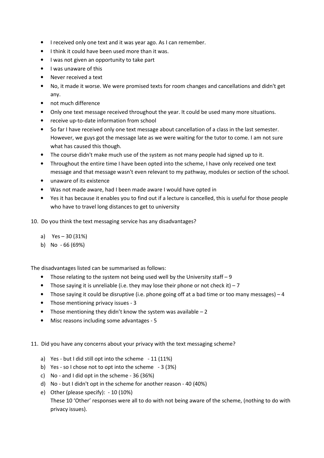- I received only one text and it was year ago. As I can remember.
- I think it could have been used more than it was.
- I was not given an opportunity to take part
- I was unaware of this
- Never received a text
- No, it made it worse. We were promised texts for room changes and cancellations and didn't get any.
- not much difference
- Only one text message received throughout the year. It could be used many more situations.
- receive up-to-date information from school
- So far I have received only one text message about cancellation of a class in the last semester. However, we guys got the message late as we were waiting for the tutor to come. I am not sure what has caused this though.
- The course didn't make much use of the system as not many people had signed up to it.
- Throughout the entire time I have been opted into the scheme, I have only received one text message and that message wasn't even relevant to my pathway, modules or section of the school.
- unaware of its existence
- Was not made aware, had I been made aware I would have opted in
- Yes it has because it enables you to find out if a lecture is cancelled, this is useful for those people who have to travel long distances to get to university
- 10. Do you think the text messaging service has any disadvantages?
	- a) Yes 30 (31%)
	- b) No 66 (69%)

The disadvantages listed can be summarised as follows:

- Those relating to the system not being used well by the University staff 9
- Those saying it is unreliable (i.e. they may lose their phone or not check it) 7
- Those saying it could be disruptive (i.e. phone going off at a bad time or too many messages) 4
- Those mentioning privacy issues 3
- Those mentioning they didn't know the system was available  $-2$
- Misc reasons including some advantages 5
- 11. Did you have any concerns about your privacy with the text messaging scheme?
	- a) Yes but I did still opt into the scheme 11 (11%)
	- b) Yes so I chose not to opt into the scheme 3 (3%)
	- c) No and I did opt in the scheme 36 (36%)
	- d) No but I didn't opt in the scheme for another reason 40 (40%)
	- e) Other (please specify): 10 (10%) These 10 'Other' responses were all to do with not being aware of the scheme, (nothing to do with privacy issues).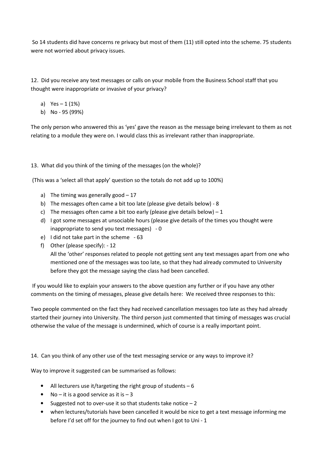So 14 students did have concerns re privacy but most of them (11) still opted into the scheme. 75 students were not worried about privacy issues.

12. Did you receive any text messages or calls on your mobile from the Business School staff that you thought were inappropriate or invasive of your privacy?

- a)  $Yes 1 (1%)$
- b) No 95 (99%)

The only person who answered this as 'yes' gave the reason as the message being irrelevant to them as not relating to a module they were on. I would class this as irrelevant rather than inappropriate.

13. What did you think of the timing of the messages (on the whole)?

(This was a 'select all that apply' question so the totals do not add up to 100%)

- a) The timing was generally good  $-17$
- b) The messages often came a bit too late (please give details below) 8
- c) The messages often came a bit too early (please give details below)  $-1$
- d) I got some messages at unsociable hours (please give details of the times you thought were inappropriate to send you text messages) - 0
- e) I did not take part in the scheme 63
- f) Other (please specify): 12

All the 'other' responses related to people not getting sent any text messages apart from one who mentioned one of the messages was too late, so that they had already commuted to University before they got the message saying the class had been cancelled.

 If you would like to explain your answers to the above question any further or if you have any other comments on the timing of messages, please give details here: We received three responses to this:

Two people commented on the fact they had received cancellation messages too late as they had already started their journey into University. The third person just commented that timing of messages was crucial otherwise the value of the message is undermined, which of course is a really important point.

14. Can you think of any other use of the text messaging service or any ways to improve it?

Way to improve it suggested can be summarised as follows:

- All lecturers use it/targeting the right group of students  $-6$
- No it is a good service as it is  $-3$
- Suggested not to over-use it so that students take notice  $-2$
- when lectures/tutorials have been cancelled it would be nice to get a text message informing me before I'd set off for the journey to find out when I got to Uni - 1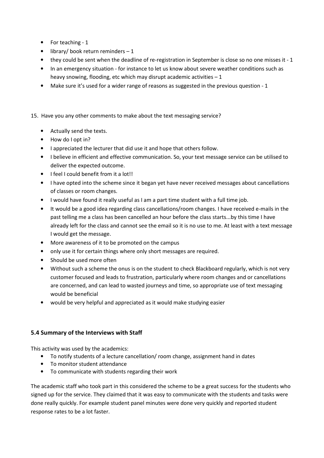- For teaching 1
- $\bullet$  library/ book return reminders  $-1$
- they could be sent when the deadline of re-registration in September is close so no one misses it 1
- In an emergency situation for instance to let us know about severe weather conditions such as heavy snowing, flooding, etc which may disrupt academic activities  $-1$
- Make sure it's used for a wider range of reasons as suggested in the previous question 1

#### 15. Have you any other comments to make about the text messaging service?

- Actually send the texts.
- How do I opt in?
- I appreciated the lecturer that did use it and hope that others follow.
- I believe in efficient and effective communication. So, your text message service can be utilised to deliver the expected outcome.
- I feel I could benefit from it a lot!!
- I have opted into the scheme since it began yet have never received messages about cancellations of classes or room changes.
- I would have found it really useful as I am a part time student with a full time job.
- It would be a good idea regarding class cancellations/room changes. I have received e-mails in the past telling me a class has been cancelled an hour before the class starts...by this time I have already left for the class and cannot see the email so it is no use to me. At least with a text message I would get the message.
- More awareness of it to be promoted on the campus
- only use it for certain things where only short messages are required.
- Should be used more often
- Without such a scheme the onus is on the student to check Blackboard regularly, which is not very customer focused and leads to frustration, particularly where room changes and or cancellations are concerned, and can lead to wasted journeys and time, so appropriate use of text messaging would be beneficial
- would be very helpful and appreciated as it would make studying easier

#### 5.4 Summary of the Interviews with Staff

This activity was used by the academics:

- To notify students of a lecture cancellation/ room change, assignment hand in dates
- To monitor student attendance
- To communicate with students regarding their work

The academic staff who took part in this considered the scheme to be a great success for the students who signed up for the service. They claimed that it was easy to communicate with the students and tasks were done really quickly. For example student panel minutes were done very quickly and reported student response rates to be a lot faster.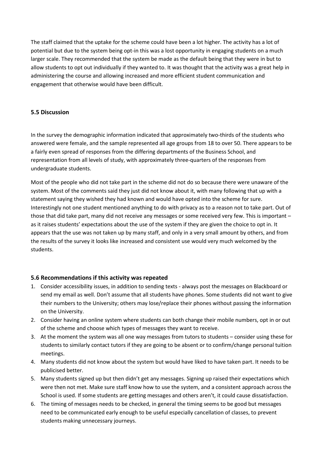The staff claimed that the uptake for the scheme could have been a lot higher. The activity has a lot of potential but due to the system being opt-in this was a lost opportunity in engaging students on a much larger scale. They recommended that the system be made as the default being that they were in but to allow students to opt out individually if they wanted to. It was thought that the activity was a great help in administering the course and allowing increased and more efficient student communication and engagement that otherwise would have been difficult.

#### 5.5 Discussion

In the survey the demographic information indicated that approximately two-thirds of the students who answered were female, and the sample represented all age groups from 18 to over 50. There appears to be a fairly even spread of responses from the differing departments of the Business School, and representation from all levels of study, with approximately three-quarters of the responses from undergraduate students.

Most of the people who did not take part in the scheme did not do so because there were unaware of the system. Most of the comments said they just did not know about it, with many following that up with a statement saying they wished they had known and would have opted into the scheme for sure. Interestingly not one student mentioned anything to do with privacy as to a reason not to take part. Out of those that did take part, many did not receive any messages or some received very few. This is important – as it raises students' expectations about the use of the system if they are given the choice to opt in. It appears that the use was not taken up by many staff, and only in a very small amount by others, and from the results of the survey it looks like increased and consistent use would very much welcomed by the students.

#### 5.6 Recommendations if this activity was repeated

- 1. Consider accessibility issues, in addition to sending texts always post the messages on Blackboard or send my email as well. Don't assume that all students have phones. Some students did not want to give their numbers to the University; others may lose/replace their phones without passing the information on the University.
- 2. Consider having an online system where students can both change their mobile numbers, opt in or out of the scheme and choose which types of messages they want to receive.
- 3. At the moment the system was all one way messages from tutors to students consider using these for students to similarly contact tutors if they are going to be absent or to confirm/change personal tuition meetings.
- 4. Many students did not know about the system but would have liked to have taken part. It needs to be publicised better.
- 5. Many students signed up but then didn't get any messages. Signing up raised their expectations which were then not met. Make sure staff know how to use the system, and a consistent approach across the School is used. If some students are getting messages and others aren't, it could cause dissatisfaction.
- 6. The timing of messages needs to be checked, in general the timing seems to be good but messages need to be communicated early enough to be useful especially cancellation of classes, to prevent students making unnecessary journeys.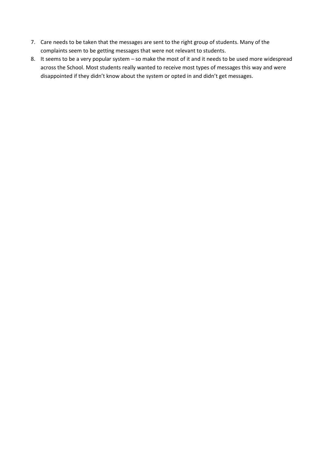- 7. Care needs to be taken that the messages are sent to the right group of students. Many of the complaints seem to be getting messages that were not relevant to students.
- 8. It seems to be a very popular system so make the most of it and it needs to be used more widespread across the School. Most students really wanted to receive most types of messages this way and were disappointed if they didn't know about the system or opted in and didn't get messages.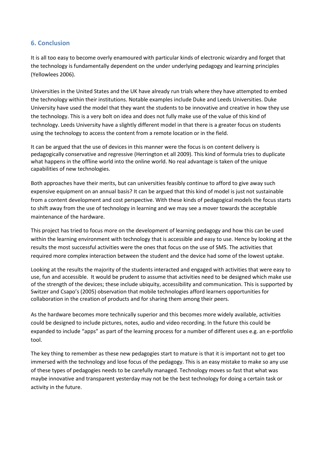## 6. Conclusion

It is all too easy to become overly enamoured with particular kinds of electronic wizardry and forget that the technology is fundamentally dependent on the under underlying pedagogy and learning principles (Yellowlees 2006).

Universities in the United States and the UK have already run trials where they have attempted to embed the technology within their institutions. Notable examples include Duke and Leeds Universities. Duke University have used the model that they want the students to be innovative and creative in how they use the technology. This is a very bolt on idea and does not fully make use of the value of this kind of technology. Leeds University have a slightly different model in that there is a greater focus on students using the technology to access the content from a remote location or in the field.

It can be argued that the use of devices in this manner were the focus is on content delivery is pedagogically conservative and regressive (Herrington et all 2009). This kind of formula tries to duplicate what happens in the offline world into the online world. No real advantage is taken of the unique capabilities of new technologies.

Both approaches have their merits, but can universities feasibly continue to afford to give away such expensive equipment on an annual basis? It can be argued that this kind of model is just not sustainable from a content development and cost perspective. With these kinds of pedagogical models the focus starts to shift away from the use of technology in learning and we may see a mover towards the acceptable maintenance of the hardware.

This project has tried to focus more on the development of learning pedagogy and how this can be used within the learning environment with technology that is accessible and easy to use. Hence by looking at the results the most successful activities were the ones that focus on the use of SMS. The activities that required more complex interaction between the student and the device had some of the lowest uptake.

Looking at the results the majority of the students interacted and engaged with activities that were easy to use, fun and accessible. It would be prudent to assume that activities need to be designed which make use of the strength of the devices; these include ubiquity, accessibility and communication. This is supported by Switzer and Csapo's (2005) observation that mobile technologies afford learners opportunities for collaboration in the creation of products and for sharing them among their peers.

As the hardware becomes more technically superior and this becomes more widely available, activities could be designed to include pictures, notes, audio and video recording. In the future this could be expanded to include "apps" as part of the learning process for a number of different uses e.g. an e-portfolio tool.

The key thing to remember as these new pedagogies start to mature is that it is important not to get too immersed with the technology and lose focus of the pedagogy. This is an easy mistake to make so any use of these types of pedagogies needs to be carefully managed. Technology moves so fast that what was maybe innovative and transparent yesterday may not be the best technology for doing a certain task or activity in the future.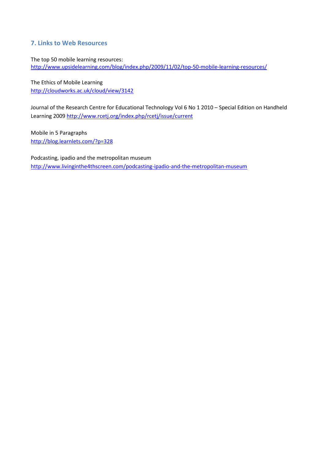## 7. Links to Web Resources

The top 50 mobile learning resources: http://www.upsidelearning.com/blog/index.php/2009/11/02/top-50-mobile-learning-resources/

The Ethics of Mobile Learning http://cloudworks.ac.uk/cloud/view/3142

Journal of the Research Centre for Educational Technology Vol 6 No 1 2010 – Special Edition on Handheld Learning 2009 http://www.rcetj.org/index.php/rcetj/issue/current

Mobile in 5 Paragraphs http://blog.learnlets.com/?p=328

Podcasting, ipadio and the metropolitan museum http://www.livinginthe4thscreen.com/podcasting-ipadio-and-the-metropolitan-museum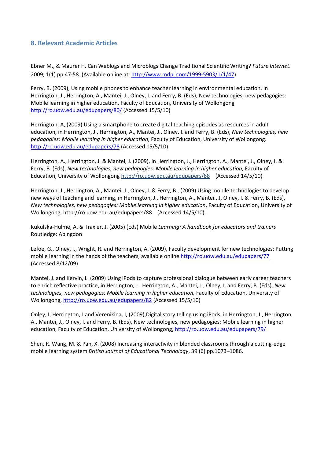## 8. Relevant Academic Articles

Ebner M., & Maurer H. Can Weblogs and Microblogs Change Traditional Scientific Writing? Future Internet. 2009; 1(1) pp.47-58. (Available online at: http://www.mdpi.com/1999-5903/1/1/47)

Ferry, B. (2009), Using mobile phones to enhance teacher learning in environmental education, in Herrington, J., Herrington, A., Mantei, J., Olney, I. and Ferry, B. (Eds), New technologies, new pedagogies: Mobile learning in higher education, Faculty of Education, University of Wollongong http://ro.uow.edu.au/edupapers/80/ (Accessed 15/5/10)

Herrington, A, (2009) Using a smartphone to create digital teaching episodes as resources in adult education, in Herrington, J., Herrington, A., Mantei, J., Olney, I. and Ferry, B. (Eds), New technologies, new pedagogies: Mobile learning in higher education, Faculty of Education, University of Wollongong. http://ro.uow.edu.au/edupapers/78 (Accessed 15/5/10)

Herrington, A., Herrington, J. & Mantei, J. (2009), in Herrington, J., Herrington, A., Mantei, J., Olney, I. & Ferry, B. (Eds), New technologies, new pedagogies: Mobile learning in higher education, Faculty of Education, University of Wollongong http://ro.uow.edu.au/edupapers/88 (Accessed 14/5/10)

Herrington, J., Herrington, A., Mantei, J., Olney, I. & Ferry, B., (2009) Using mobile technologies to develop new ways of teaching and learning, in Herrington, J., Herrington, A., Mantei., J, Olney, I. & Ferry, B. (Eds), New technologies, new pedagogies: Mobile learning in higher education, Faculty of Education, University of Wollongong, http://ro.uow.edu.au/edupapers/88 (Accessed 14/5/10).

Kukulska-Hulme, A. & Traxler, J. (2005) (Eds) Mobile Learning: A handbook for educators and trainers Routledge: Abingdon

Lefoe, G., Olney, I., Wright, R. and Herrington, A. (2009), Faculty development for new technologies: Putting mobile learning in the hands of the teachers, available online http://ro.uow.edu.au/edupapers/77 (Accessed 8/12/09)

Mantei, J. and Kervin, L. (2009) Using iPods to capture professional dialogue between early career teachers to enrich reflective practice, in Herrington, J., Herrington, A., Mantei, J., Olney, I. and Ferry, B. (Eds), New technologies, new pedagogies: Mobile learning in higher education, Faculty of Education, University of Wollongong, http://ro.uow.edu.au/edupapers/82 (Accessed 15/5/10)

Onley, I, Herrington, J and Verenikina, I, (2009),Digital story telling using iPods, in Herrington, J., Herrington, A., Mantei, J., Olney, I. and Ferry, B. (Eds), New technologies, new pedagogies: Mobile learning in higher education, Faculty of Education, University of Wollongong, http://ro.uow.edu.au/edupapers/79/

Shen, R. Wang, M. & Pan, X. (2008) Increasing interactivity in blended classrooms through a cutting-edge mobile learning system British Journal of Educational Technology, 39 (6) pp.1073–1086.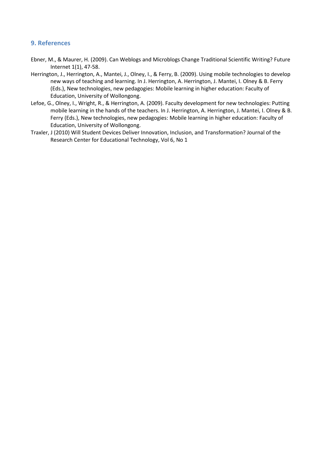## 9. References

- Ebner, M., & Maurer, H. (2009). Can Weblogs and Microblogs Change Traditional Scientific Writing? Future Internet 1(1), 47-58.
- Herrington, J., Herrington, A., Mantei, J., Olney, I., & Ferry, B. (2009). Using mobile technologies to develop new ways of teaching and learning. In J. Herrington, A. Herrington, J. Mantei, I. Olney & B. Ferry (Eds.), New technologies, new pedagogies: Mobile learning in higher education: Faculty of Education, University of Wollongong.
- Lefoe, G., Olney, I., Wright, R., & Herrington, A. (2009). Faculty development for new technologies: Putting mobile learning in the hands of the teachers. In J. Herrington, A. Herrington, J. Mantei, I. Olney & B. Ferry (Eds.), New technologies, new pedagogies: Mobile learning in higher education: Faculty of Education, University of Wollongong.
- Traxler, J (2010) Will Student Devices Deliver Innovation, Inclusion, and Transformation? Journal of the Research Center for Educational Technology, Vol 6, No 1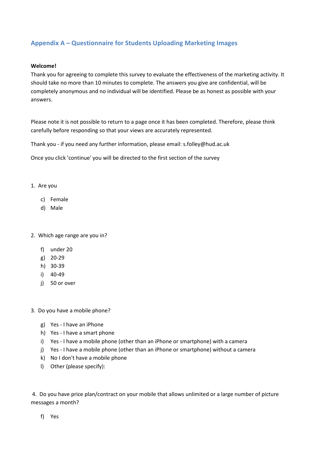## Appendix A – Questionnaire for Students Uploading Marketing Images

#### Welcome!

Thank you for agreeing to complete this survey to evaluate the effectiveness of the marketing activity. It should take no more than 10 minutes to complete. The answers you give are confidential, will be completely anonymous and no individual will be identified. Please be as honest as possible with your answers.

Please note it is not possible to return to a page once it has been completed. Therefore, please think carefully before responding so that your views are accurately represented.

Thank you - if you need any further information, please email: s.folley@hud.ac.uk

Once you click 'continue' you will be directed to the first section of the survey

- 1. Are you
	- c) Female
	- d) Male
- 2. Which age range are you in?
	- f) under 20
	- g) 20-29
	- h) 30-39
	- i) 40-49
	- j) 50 or over
- 3. Do you have a mobile phone?
	- g) Yes I have an iPhone
	- h) Yes I have a smart phone
	- i) Yes I have a mobile phone (other than an iPhone or smartphone) with a camera
	- j) Yes I have a mobile phone (other than an iPhone or smartphone) without a camera
	- k) No I don't have a mobile phone
	- l) Other (please specify):

 4. Do you have price plan/contract on your mobile that allows unlimited or a large number of picture messages a month?

f) Yes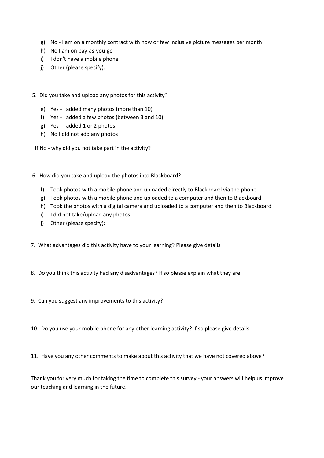- g) No I am on a monthly contract with now or few inclusive picture messages per month
- h) No I am on pay-as-you-go
- i) I don't have a mobile phone
- j) Other (please specify):
- 5. Did you take and upload any photos for this activity?
	- e) Yes I added many photos (more than 10)
	- f) Yes I added a few photos (between 3 and 10)
	- g) Yes I added 1 or 2 photos
	- h) No I did not add any photos
	- If No why did you not take part in the activity?
- 6. How did you take and upload the photos into Blackboard?
	- f) Took photos with a mobile phone and uploaded directly to Blackboard via the phone
	- g) Took photos with a mobile phone and uploaded to a computer and then to Blackboard
	- h) Took the photos with a digital camera and uploaded to a computer and then to Blackboard
	- i) I did not take/upload any photos
	- j) Other (please specify):
- 7. What advantages did this activity have to your learning? Please give details
- 8. Do you think this activity had any disadvantages? If so please explain what they are
- 9. Can you suggest any improvements to this activity?
- 10. Do you use your mobile phone for any other learning activity? If so please give details
- 11. Have you any other comments to make about this activity that we have not covered above?

Thank you for very much for taking the time to complete this survey - your answers will help us improve our teaching and learning in the future.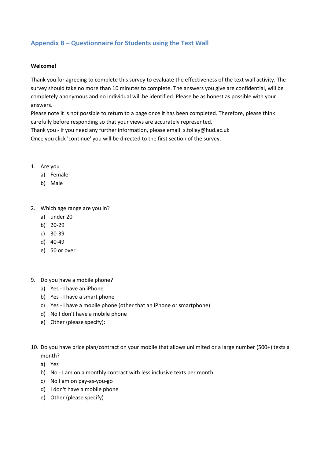## Appendix B – Questionnaire for Students using the Text Wall

#### Welcome!

Thank you for agreeing to complete this survey to evaluate the effectiveness of the text wall activity. The survey should take no more than 10 minutes to complete. The answers you give are confidential, will be completely anonymous and no individual will be identified. Please be as honest as possible with your answers.

Please note it is not possible to return to a page once it has been completed. Therefore, please think carefully before responding so that your views are accurately represented.

Thank you - if you need any further information, please email: s.folley@hud.ac.uk Once you click 'continue' you will be directed to the first section of the survey.

- 1. Are you
	- a) Female
	- b) Male
- 2. Which age range are you in?
	- a) under 20
	- b) 20-29
	- c) 30-39
	- d) 40-49
	- e) 50 or over
- 9. Do you have a mobile phone?
	- a) Yes I have an iPhone
	- b) Yes I have a smart phone
	- c) Yes I have a mobile phone (other that an iPhone or smartphone)
	- d) No I don't have a mobile phone
	- e) Other (please specify):
- 10. Do you have price plan/contract on your mobile that allows unlimited or a large number (500+) texts a month?
	- a) Yes
	- b) No I am on a monthly contract with less inclusive texts per month
	- c) No I am on pay-as-you-go
	- d) I don't have a mobile phone
	- e) Other (please specify)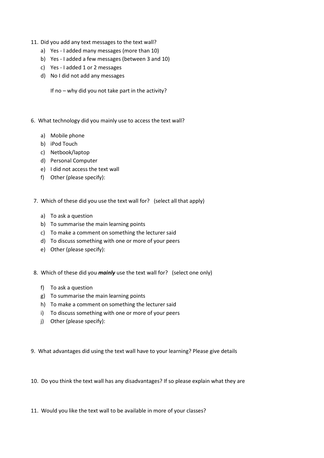- 11. Did you add any text messages to the text wall?
	- a) Yes I added many messages (more than 10)
	- b) Yes I added a few messages (between 3 and 10)
	- c) Yes I added 1 or 2 messages
	- d) No I did not add any messages

If no – why did you not take part in the activity?

- 6. What technology did you mainly use to access the text wall?
	- a) Mobile phone
	- b) iPod Touch
	- c) Netbook/laptop
	- d) Personal Computer
	- e) I did not access the text wall
	- f) Other (please specify):
- 7. Which of these did you use the text wall for? (select all that apply)
	- a) To ask a question
	- b) To summarise the main learning points
	- c) To make a comment on something the lecturer said
	- d) To discuss something with one or more of your peers
	- e) Other (please specify):
- 8. Which of these did you *mainly* use the text wall for? (select one only)
	- f) To ask a question
	- g) To summarise the main learning points
	- h) To make a comment on something the lecturer said
	- i) To discuss something with one or more of your peers
	- j) Other (please specify):

9. What advantages did using the text wall have to your learning? Please give details

10. Do you think the text wall has any disadvantages? If so please explain what they are

11. Would you like the text wall to be available in more of your classes?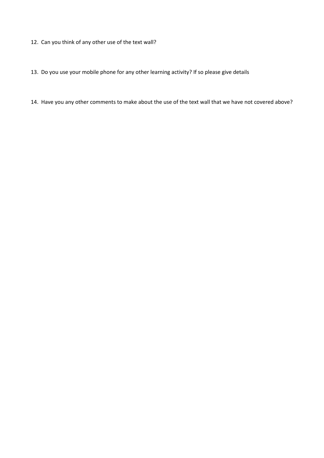- 12. Can you think of any other use of the text wall?
- 13. Do you use your mobile phone for any other learning activity? If so please give details
- 14. Have you any other comments to make about the use of the text wall that we have not covered above?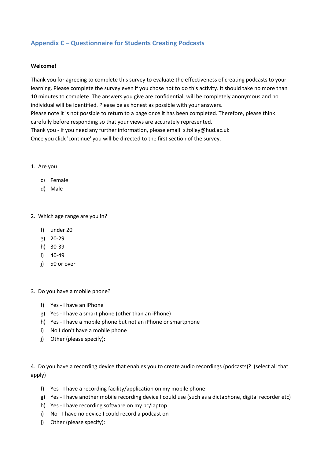## Appendix C – Questionnaire for Students Creating Podcasts

#### Welcome!

Thank you for agreeing to complete this survey to evaluate the effectiveness of creating podcasts to your learning. Please complete the survey even if you chose not to do this activity. It should take no more than 10 minutes to complete. The answers you give are confidential, will be completely anonymous and no individual will be identified. Please be as honest as possible with your answers.

Please note it is not possible to return to a page once it has been completed. Therefore, please think carefully before responding so that your views are accurately represented.

Thank you - if you need any further information, please email: s.folley@hud.ac.uk Once you click 'continue' you will be directed to the first section of the survey.

- 1. Are you
	- c) Female
	- d) Male

2. Which age range are you in?

- f) under 20
- g) 20-29
- h) 30-39
- i) 40-49
- j) 50 or over
- 3. Do you have a mobile phone?
	- f) Yes I have an iPhone
	- g) Yes I have a smart phone (other than an iPhone)
	- h) Yes I have a mobile phone but not an iPhone or smartphone
	- i) No I don't have a mobile phone
	- j) Other (please specify):

4. Do you have a recording device that enables you to create audio recordings (podcasts)? (select all that apply)

- f) Yes I have a recording facility/application on my mobile phone
- g) Yes I have another mobile recording device I could use (such as a dictaphone, digital recorder etc)
- h) Yes I have recording software on my pc/laptop
- i) No I have no device I could record a podcast on
- j) Other (please specify):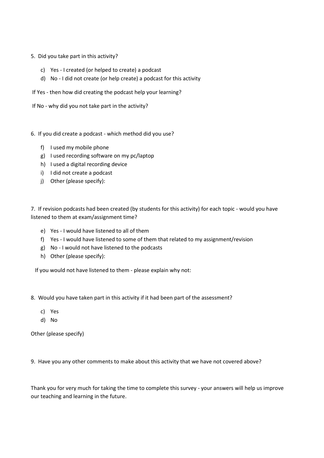- 5. Did you take part in this activity?
	- c) Yes I created (or helped to create) a podcast
	- d) No I did not create (or help create) a podcast for this activity
- If Yes then how did creating the podcast help your learning?
- If No why did you not take part in the activity?
- 6. If you did create a podcast which method did you use?
	- f) I used my mobile phone
	- g) I used recording software on my pc/laptop
	- h) I used a digital recording device
	- i) I did not create a podcast
	- j) Other (please specify):

7. If revision podcasts had been created (by students for this activity) for each topic - would you have listened to them at exam/assignment time?

- e) Yes I would have listened to all of them
- f) Yes I would have listened to some of them that related to my assignment/revision
- g) No I would not have listened to the podcasts
- h) Other (please specify):

If you would not have listened to them - please explain why not:

- 8. Would you have taken part in this activity if it had been part of the assessment?
	- c) Yes
	- d) No

Other (please specify)

9. Have you any other comments to make about this activity that we have not covered above?

Thank you for very much for taking the time to complete this survey - your answers will help us improve our teaching and learning in the future.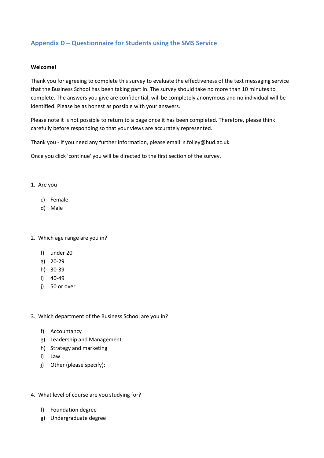## Appendix D – Questionnaire for Students using the SMS Service

#### Welcome!

Thank you for agreeing to complete this survey to evaluate the effectiveness of the text messaging service that the Business School has been taking part in. The survey should take no more than 10 minutes to complete. The answers you give are confidential, will be completely anonymous and no individual will be identified. Please be as honest as possible with your answers.

Please note it is not possible to return to a page once it has been completed. Therefore, please think carefully before responding so that your views are accurately represented.

Thank you - if you need any further information, please email: s.folley@hud.ac.uk

Once you click 'continue' you will be directed to the first section of the survey.

- 1. Are you
	- c) Female
	- d) Male

#### 2. Which age range are you in?

- f) under 20
- g) 20-29
- h) 30-39
- i) 40-49
- j) 50 or over
- 3. Which department of the Business School are you in?
	- f) Accountancy
	- g) Leadership and Management
	- h) Strategy and marketing
	- i) Law
	- j) Other (please specify):
- 4. What level of course are you studying for?
	- f) Foundation degree
	- g) Undergraduate degree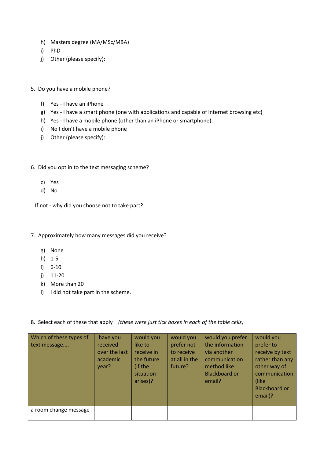- h) Masters degree (MA/MSc/MBA)
- i) PhD
- j) Other (please specify):
- 5. Do you have a mobile phone?
	- f) Yes I have an iPhone
	- g) Yes I have a smart phone (one with applications and capable of internet browsing etc)
	- h) Yes I have a mobile phone (other than an iPhone or smartphone)
	- i) No I don't have a mobile phone
	- j) Other (please specify):
- 6. Did you opt in to the text messaging scheme?
	- c) Yes
	- d) No
	- If not why did you choose not to take part?
- 7. Approximately how many messages did you receive?
	- g) None
	- h) 1-5
	- i) 6-10
	- j) 11-20
	- k) More than 20
	- l) I did not take part in the scheme.
- 8. Select each of these that apply (these were just tick boxes in each of the table cells)

| Which of these types of<br>text message | have you<br>received<br>over the last<br>academic<br>year? | would you<br>like to<br>receive in<br>the future<br>(if the<br>situation<br>arises)? | would you<br>prefer not<br>to receive<br>at all in the<br>future? | would you prefer<br>the information<br>via another<br>communication<br>method like<br><b>Blackboard or</b><br>email? | would you<br>prefer to<br>receive by text<br>rather than any<br>other way of<br>communication<br>(like)<br><b>Blackboard or</b><br>email)? |
|-----------------------------------------|------------------------------------------------------------|--------------------------------------------------------------------------------------|-------------------------------------------------------------------|----------------------------------------------------------------------------------------------------------------------|--------------------------------------------------------------------------------------------------------------------------------------------|
| a room change message                   |                                                            |                                                                                      |                                                                   |                                                                                                                      |                                                                                                                                            |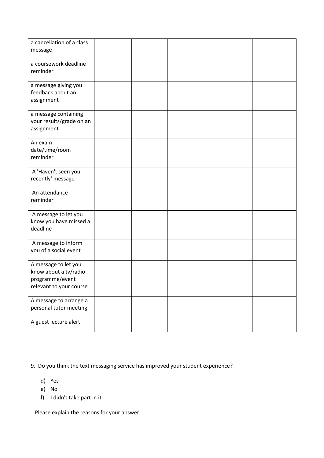| a cancellation of a class<br>message                                                        |  |  |  |
|---------------------------------------------------------------------------------------------|--|--|--|
| a coursework deadline<br>reminder                                                           |  |  |  |
| a message giving you<br>feedback about an<br>assignment                                     |  |  |  |
| a message containing<br>your results/grade on an<br>assignment                              |  |  |  |
| An exam<br>date/time/room<br>reminder                                                       |  |  |  |
| A 'Haven't seen you<br>recently' message                                                    |  |  |  |
| An attendance<br>reminder                                                                   |  |  |  |
| A message to let you<br>know you have missed a<br>deadline                                  |  |  |  |
| A message to inform<br>you of a social event                                                |  |  |  |
| A message to let you<br>know about a tv/radio<br>programme/event<br>relevant to your course |  |  |  |
| A message to arrange a<br>personal tutor meeting                                            |  |  |  |
| A guest lecture alert                                                                       |  |  |  |

9. Do you think the text messaging service has improved your student experience?

- d) Yes
- e) No
- f) I didn't take part in it.

Please explain the reasons for your answer